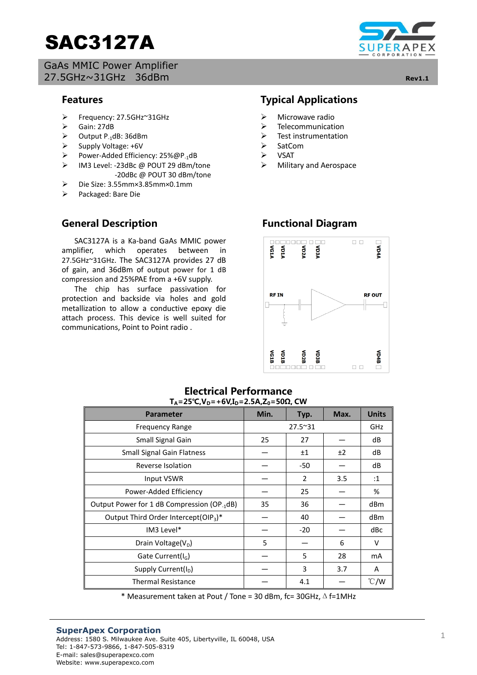# SAC3127A

GaAs MMIC Power Amplifier 27.5GHz~31GHz 36dBm **Rev1.1**



#### $\overline{a}$ **Features**

- Frequency: 27.5GHz~31GHz
- $\geq$  Gain: 27dB<br> $\geq$  Output P<sub>4</sub>
- $\geq$  Output P<sub>-1</sub>dB: 36dBm<br> $\geq$  Supply Voltage: +6V
- Supply Voltage: +6V
- Power-Added Efficiency: 25%@P<sub>-1</sub>dB<br>> IM3 Level: -23dBc @ POUT 29 dBm/t
- IM3 Level: -23dBc @ POUT 29 dBm/tone -20dBc @ POUT 30 dBm/tone
- Die Size: 3.55mm×3.85mm×0.1mm
- Packaged: Bare Die

## **General Description**

 SAC3127A is a Ka-band GaAs MMIC power amplifier, which operates between in 27.5GHz~31GHz. The SAC3127A provides 27 dB of gain, and 36dBm of output power for 1 dB compression and 25%PAE from a +6V supply.

 The chip has surface passivation for protection and backside via holes and gold metallization to allow a conductive epoxy die attach process. This device is well suited for communications, Point to Point radio .

# **Typical Applications**

- $\triangleright$  Microwave radio
- $\triangleright$  Telecommunication<br> $\triangleright$  Test instrumentation
- $\triangleright$  Test instrumentation<br> $\triangleright$  SatCom
- SatCom
- $\triangleright$  VSAT
- $\triangleright$  Military and Aerospace

# **Functional Diagram**



### **Electrical Performance**  $T_A = 25^\circ C$ ,  $V_D = +6V$ ,  $I_D = 2.5A$ ,  $Z_0 = 50\Omega$ , **CW**

| <b>Parameter</b>                                        | Min.    | Typ.  | Max.       | <b>Units</b>   |
|---------------------------------------------------------|---------|-------|------------|----------------|
| <b>Frequency Range</b>                                  | 27.5~31 |       | <b>GHz</b> |                |
| Small Signal Gain                                       | 25      | 27    |            | dB             |
| <b>Small Signal Gain Flatness</b>                       |         | ±1    | ±2         | dB             |
| Reverse Isolation                                       |         | $-50$ |            | dB             |
| Input VSWR                                              |         | 2     | 3.5        | :1             |
| Power-Added Efficiency                                  |         | 25    |            | %              |
| Output Power for 1 dB Compression (OP <sub>-1</sub> dB) | 35      | 36    |            | dBm            |
| Output Third Order Intercept(OIP <sub>3</sub> )*        |         | 40    |            | dBm            |
| IM3 Level*                                              |         | $-20$ |            | dBc            |
| Drain Voltage( $V_D$ )                                  | 5       |       | 6          | v              |
| Gate Current( $I_G$ )                                   |         | 5     | 28         | m <sub>A</sub> |
| Supply Current(I <sub>D</sub> )                         |         | 3     | 3.7        | A              |
| <b>Thermal Resistance</b>                               |         | 4.1   |            | $\degree$ C/W  |

\* Measurement taken at Pout / Tone = 30 dBm, fc= 30GHz,Δf=1MHz

#### **SuperApex Corporation** Address: 1580 S. Milwaukee Ave. Suite 405, Libertyville, IL 60048, USA Tel: 1-847-573-9866, 1-847-505-8319 E-mail: sales@superapexco.com Website: www.superapexco.com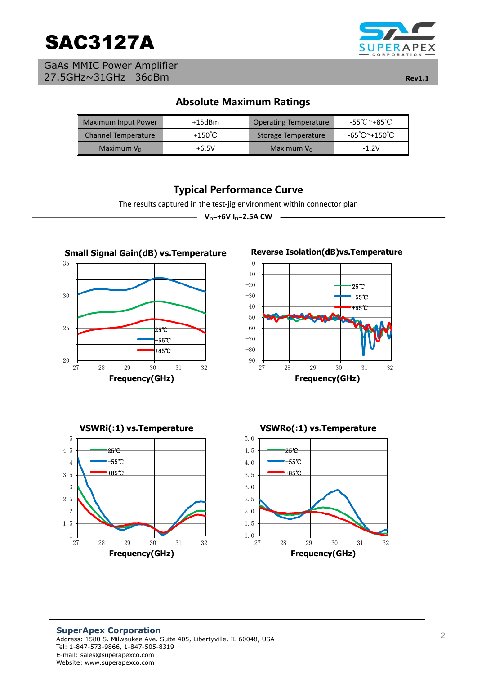

GaAs MMIC Power Amplifier 27.5GHz~31GHz 36dBm **Rev1.1**



# **Absolute Maximum Ratings**

| <b>Maximum Input Power</b> | $+15$ d $Bm$      | Operating Temperature | -55℃~+85℃       |
|----------------------------|-------------------|-----------------------|-----------------|
| <b>Channel Temperature</b> | +150 $^{\circ}$ C | Storage Temperature   | -65 °C ~+150 °C |
| Maximum $V_{D}$            | $+6.5V$           | Maximum $V_{\rm G}$   | $-1.2V$         |

# Typical Performance Curve

The results captured in the test-jig environment within connector plan

 $-V_{p}$ =+6V<sub>I<sub>p</sub>=2.5A CW -</sub>

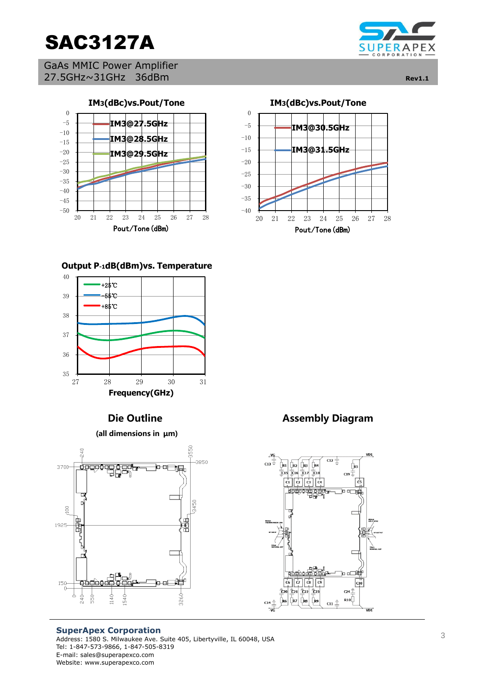

GaAs MMIC Power Amplifier 27.5GHz~31GHz 36dBm **Rev1.1**





#### **Output P-1dB(dBm)vs. Temperature**



**(all dimensions in μm)**



#### **SuperApex Corporation** Address: 1580 S. Milwaukee Ave. Suite 405, Libertyville, IL 60048, USA Tel: 1-847-573-9866, 1-847-505-8319 E-mail: sales@superapexco.com Website: www.superapexco.com



**Die Outline Assembly Diagram**